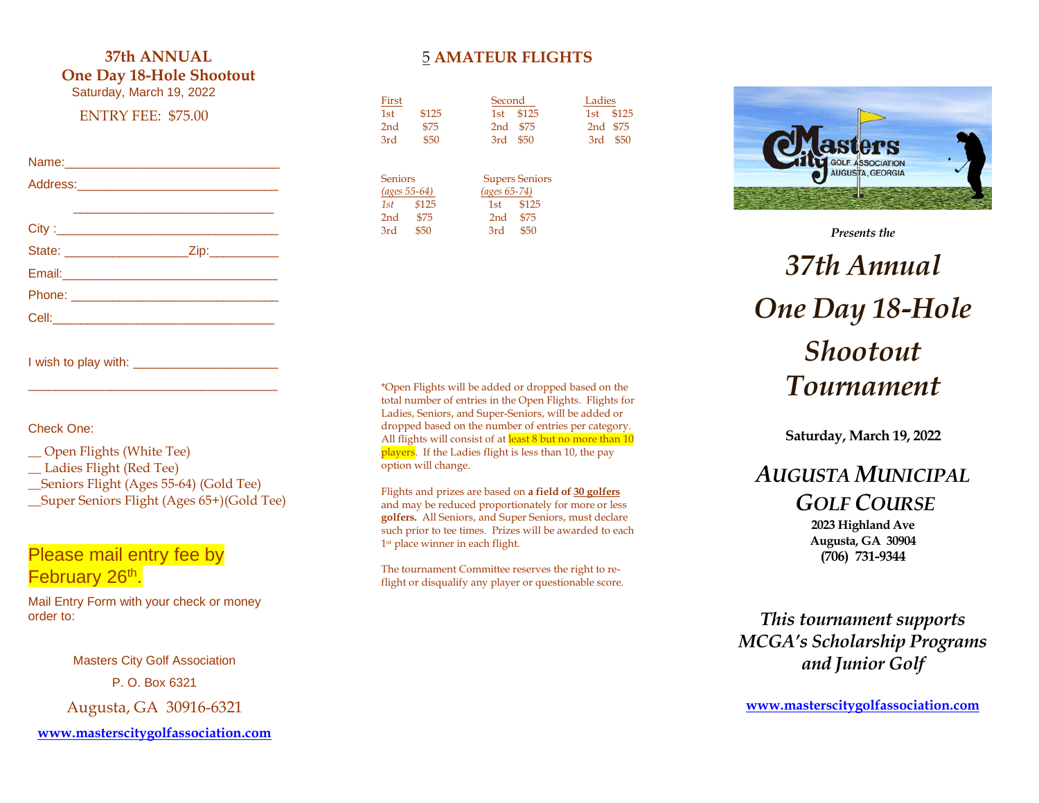### **3 7th ANNUAL One Day 18 -Hole Shootout**

Saturday, March 19, 202 2

#### ENTRY FEE: \$ 75.00

#### Name:

| First<br>1st<br>2nd<br>3rd                                 | \$125<br>\$75<br>\$50 | Second<br>1st<br>2nd<br>3rd                     | \$125<br>\$75<br>\$50                          | Ladies<br>1st<br>2nd<br>3rd | \$125<br>\$75<br>\$50 |
|------------------------------------------------------------|-----------------------|-------------------------------------------------|------------------------------------------------|-----------------------------|-----------------------|
| <b>Seniors</b><br><u>(ages 55-64)</u><br>1st<br>2nd<br>3rd | \$125<br>\$75<br>\$50 | $(ages 65-74)$<br>1st<br>2 <sub>nd</sub><br>3rd | <b>Supers Seniors</b><br>\$125<br>\$75<br>\$50 |                             |                       |

5 **AMATEUR FLIGHTS**

I wish to play with : \_\_\_\_\_\_\_\_\_\_\_\_\_\_\_\_\_\_\_\_\_ \_\_\_\_\_\_\_\_\_\_\_\_\_\_\_\_\_\_\_\_\_\_\_\_\_\_\_\_\_\_\_\_\_\_\_\_

Check One:

- \_\_ Open Flights (White Tee)
- \_\_ Ladies Flight (Red Tee)
- \_\_Seniors Flight (Ages 5 5 -64 ) (Gold Tee)
- \_\_Super Seniors Flight (Ages 6 5 +)(Gold Tee)

### Please mail entry fee by February 26<sup>th</sup>.

Mail Entry Form with your check or money order to :

> Masters City Golf Association P. O. Box 6321

Augusta, GA 30916 -6321

**[www.masterscitygolfassociation.com](http://www.masterscitygolfassociation.com/)**

\*Open Flights will be added or dropped based on the total number of entries in the Open Flights. Flights for Ladies, Seniors, and Super -Senior s , will be added or dropped based on the number of entries per category. All flights will consist of at least 8 but no more than 10 players. If the Ladies flight is less than 10, the pay option will change .

Flights and prizes are based on **a field of 3 0 golfers** and may be reduced proportionately for more or less **golfers.** All Seniors , and Super Seniors, must declare such prior to tee times. Prizes will be awarded to each 1<sup>st</sup> place winner in each flight.

The tournament Committee reserves the right to re flight or disqualify any player or questionable score.



*Presents the*

# *3 7th Annual One Day 18 -Hole Shootout Tournament*

**Saturday, March 19, 202 2**

# *AUGUSTA MUNICIPAL GOLF COURSE*

**2023 Highland Ave Augusta, GA 30904 (706) 731 -9344**

*This tournament supports MCGA's Scholarship Programs and Junior Golf*

**[www.masterscitygolfassociation.com](http://www.masterscitygolfassociation.com/)**